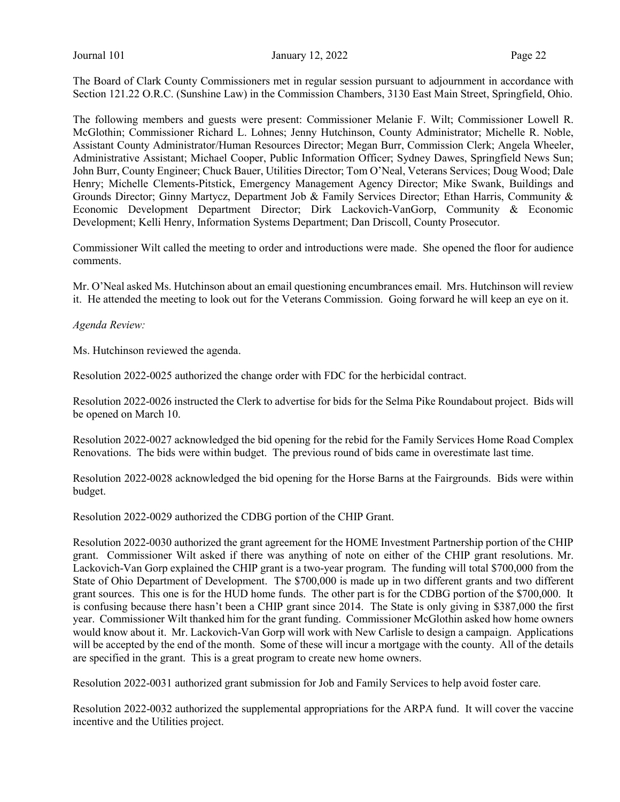Journal 101 **January 12, 2022** Page 22

The Board of Clark County Commissioners met in regular session pursuant to adjournment in accordance with Section 121.22 O.R.C. (Sunshine Law) in the Commission Chambers, 3130 East Main Street, Springfield, Ohio.

The following members and guests were present: Commissioner Melanie F. Wilt; Commissioner Lowell R. McGlothin; Commissioner Richard L. Lohnes; Jenny Hutchinson, County Administrator; Michelle R. Noble, Assistant County Administrator/Human Resources Director; Megan Burr, Commission Clerk; Angela Wheeler, Administrative Assistant; Michael Cooper, Public Information Officer; Sydney Dawes, Springfield News Sun; John Burr, County Engineer; Chuck Bauer, Utilities Director; Tom O'Neal, Veterans Services; Doug Wood; Dale Henry; Michelle Clements-Pitstick, Emergency Management Agency Director; Mike Swank, Buildings and Grounds Director; Ginny Martycz, Department Job & Family Services Director; Ethan Harris, Community & Economic Development Department Director; Dirk Lackovich-VanGorp, Community & Economic Development; Kelli Henry, Information Systems Department; Dan Driscoll, County Prosecutor.

Commissioner Wilt called the meeting to order and introductions were made. She opened the floor for audience comments.

Mr. O'Neal asked Ms. Hutchinson about an email questioning encumbrances email. Mrs. Hutchinson will review it. He attended the meeting to look out for the Veterans Commission. Going forward he will keep an eye on it.

Agenda Review:

Ms. Hutchinson reviewed the agenda.

Resolution 2022-0025 authorized the change order with FDC for the herbicidal contract.

Resolution 2022-0026 instructed the Clerk to advertise for bids for the Selma Pike Roundabout project. Bids will be opened on March 10.

Resolution 2022-0027 acknowledged the bid opening for the rebid for the Family Services Home Road Complex Renovations. The bids were within budget. The previous round of bids came in overestimate last time.

Resolution 2022-0028 acknowledged the bid opening for the Horse Barns at the Fairgrounds. Bids were within budget.

Resolution 2022-0029 authorized the CDBG portion of the CHIP Grant.

Resolution 2022-0030 authorized the grant agreement for the HOME Investment Partnership portion of the CHIP grant. Commissioner Wilt asked if there was anything of note on either of the CHIP grant resolutions. Mr. Lackovich-Van Gorp explained the CHIP grant is a two-year program. The funding will total \$700,000 from the State of Ohio Department of Development. The \$700,000 is made up in two different grants and two different grant sources. This one is for the HUD home funds. The other part is for the CDBG portion of the \$700,000. It is confusing because there hasn't been a CHIP grant since 2014. The State is only giving in \$387,000 the first year. Commissioner Wilt thanked him for the grant funding. Commissioner McGlothin asked how home owners would know about it. Mr. Lackovich-Van Gorp will work with New Carlisle to design a campaign. Applications will be accepted by the end of the month. Some of these will incur a mortgage with the county. All of the details are specified in the grant. This is a great program to create new home owners.

Resolution 2022-0031 authorized grant submission for Job and Family Services to help avoid foster care.

Resolution 2022-0032 authorized the supplemental appropriations for the ARPA fund. It will cover the vaccine incentive and the Utilities project.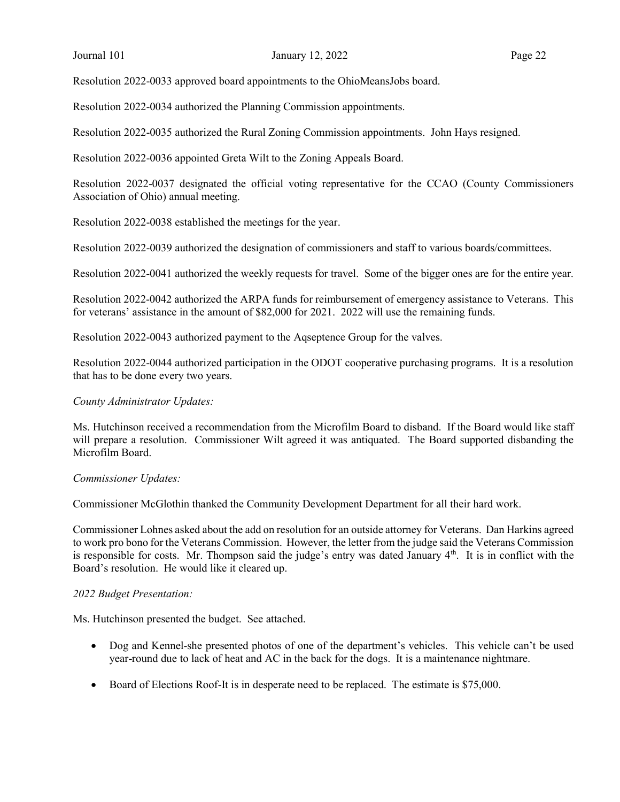Resolution 2022-0033 approved board appointments to the OhioMeansJobs board.

Resolution 2022-0034 authorized the Planning Commission appointments.

Resolution 2022-0035 authorized the Rural Zoning Commission appointments. John Hays resigned.

Resolution 2022-0036 appointed Greta Wilt to the Zoning Appeals Board.

Resolution 2022-0037 designated the official voting representative for the CCAO (County Commissioners Association of Ohio) annual meeting.

Resolution 2022-0038 established the meetings for the year.

Resolution 2022-0039 authorized the designation of commissioners and staff to various boards/committees.

Resolution 2022-0041 authorized the weekly requests for travel. Some of the bigger ones are for the entire year.

Resolution 2022-0042 authorized the ARPA funds for reimbursement of emergency assistance to Veterans. This for veterans' assistance in the amount of \$82,000 for 2021. 2022 will use the remaining funds.

Resolution 2022-0043 authorized payment to the Aqseptence Group for the valves.

Resolution 2022-0044 authorized participation in the ODOT cooperative purchasing programs. It is a resolution that has to be done every two years.

#### County Administrator Updates:

Ms. Hutchinson received a recommendation from the Microfilm Board to disband. If the Board would like staff will prepare a resolution. Commissioner Wilt agreed it was antiquated. The Board supported disbanding the Microfilm Board.

#### Commissioner Updates:

Commissioner McGlothin thanked the Community Development Department for all their hard work.

Commissioner Lohnes asked about the add on resolution for an outside attorney for Veterans. Dan Harkins agreed to work pro bono for the Veterans Commission. However, the letter from the judge said the Veterans Commission is responsible for costs. Mr. Thompson said the judge's entry was dated January 4<sup>th</sup>. It is in conflict with the Board's resolution. He would like it cleared up.

#### 2022 Budget Presentation:

Ms. Hutchinson presented the budget. See attached.

- Dog and Kennel-she presented photos of one of the department's vehicles. This vehicle can't be used year-round due to lack of heat and AC in the back for the dogs. It is a maintenance nightmare.
- Board of Elections Roof-It is in desperate need to be replaced. The estimate is \$75,000.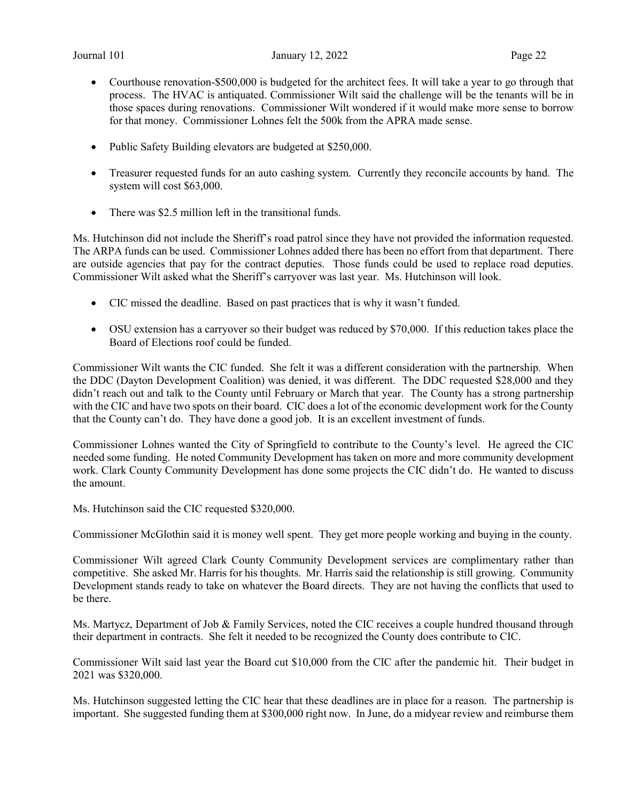- Courthouse renovation-\$500,000 is budgeted for the architect fees. It will take a year to go through that process. The HVAC is antiquated. Commissioner Wilt said the challenge will be the tenants will be in those spaces during renovations. Commissioner Wilt wondered if it would make more sense to borrow for that money. Commissioner Lohnes felt the 500k from the APRA made sense.
- Public Safety Building elevators are budgeted at \$250,000.
- Treasurer requested funds for an auto cashing system. Currently they reconcile accounts by hand. The system will cost \$63,000.
- There was \$2.5 million left in the transitional funds.

Ms. Hutchinson did not include the Sheriff's road patrol since they have not provided the information requested. The ARPA funds can be used. Commissioner Lohnes added there has been no effort from that department. There are outside agencies that pay for the contract deputies. Those funds could be used to replace road deputies. Commissioner Wilt asked what the Sheriff's carryover was last year. Ms. Hutchinson will look.

- CIC missed the deadline. Based on past practices that is why it wasn't funded.
- OSU extension has a carryover so their budget was reduced by \$70,000. If this reduction takes place the Board of Elections roof could be funded.

Commissioner Wilt wants the CIC funded. She felt it was a different consideration with the partnership. When the DDC (Dayton Development Coalition) was denied, it was different. The DDC requested \$28,000 and they didn't reach out and talk to the County until February or March that year. The County has a strong partnership with the CIC and have two spots on their board. CIC does a lot of the economic development work for the County that the County can't do. They have done a good job. It is an excellent investment of funds.

Commissioner Lohnes wanted the City of Springfield to contribute to the County's level. He agreed the CIC needed some funding. He noted Community Development has taken on more and more community development work. Clark County Community Development has done some projects the CIC didn't do. He wanted to discuss the amount.

Ms. Hutchinson said the CIC requested \$320,000.

Commissioner McGlothin said it is money well spent. They get more people working and buying in the county.

Commissioner Wilt agreed Clark County Community Development services are complimentary rather than competitive. She asked Mr. Harris for his thoughts. Mr. Harris said the relationship is still growing. Community Development stands ready to take on whatever the Board directs. They are not having the conflicts that used to be there.

Ms. Martycz, Department of Job & Family Services, noted the CIC receives a couple hundred thousand through their department in contracts. She felt it needed to be recognized the County does contribute to CIC.

Commissioner Wilt said last year the Board cut \$10,000 from the CIC after the pandemic hit. Their budget in 2021 was \$320,000.

Ms. Hutchinson suggested letting the CIC hear that these deadlines are in place for a reason. The partnership is important. She suggested funding them at \$300,000 right now. In June, do a midyear review and reimburse them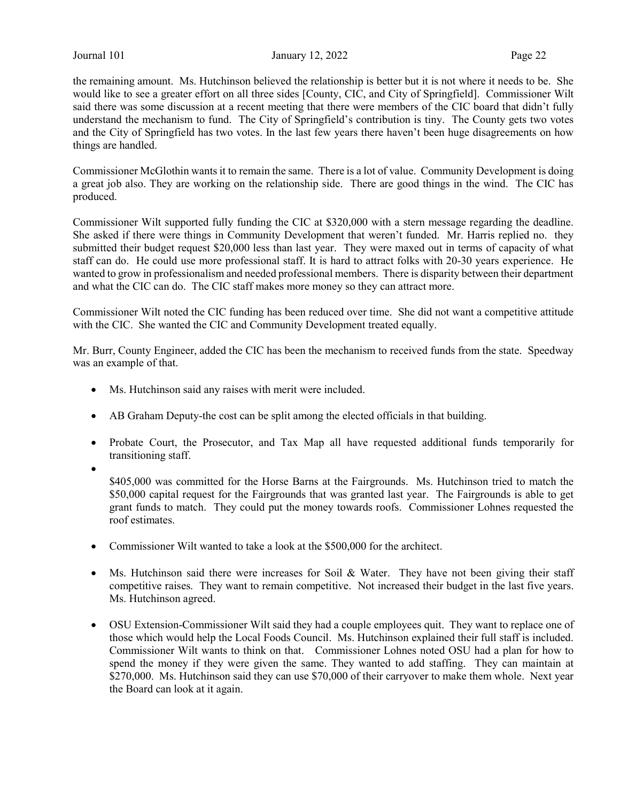Journal 101 **January 12, 2022** Page 22

the remaining amount. Ms. Hutchinson believed the relationship is better but it is not where it needs to be. She would like to see a greater effort on all three sides [County, CIC, and City of Springfield]. Commissioner Wilt said there was some discussion at a recent meeting that there were members of the CIC board that didn't fully understand the mechanism to fund. The City of Springfield's contribution is tiny. The County gets two votes and the City of Springfield has two votes. In the last few years there haven't been huge disagreements on how things are handled.

Commissioner McGlothin wants it to remain the same. There is a lot of value. Community Development is doing a great job also. They are working on the relationship side. There are good things in the wind. The CIC has produced.

Commissioner Wilt supported fully funding the CIC at \$320,000 with a stern message regarding the deadline. She asked if there were things in Community Development that weren't funded. Mr. Harris replied no. they submitted their budget request \$20,000 less than last year. They were maxed out in terms of capacity of what staff can do. He could use more professional staff. It is hard to attract folks with 20-30 years experience. He wanted to grow in professionalism and needed professional members. There is disparity between their department and what the CIC can do. The CIC staff makes more money so they can attract more.

Commissioner Wilt noted the CIC funding has been reduced over time. She did not want a competitive attitude with the CIC. She wanted the CIC and Community Development treated equally.

Mr. Burr, County Engineer, added the CIC has been the mechanism to received funds from the state. Speedway was an example of that.

- Ms. Hutchinson said any raises with merit were included.
- AB Graham Deputy-the cost can be split among the elected officials in that building.
- Probate Court, the Prosecutor, and Tax Map all have requested additional funds temporarily for transitioning staff.
- $\bullet$

\$405,000 was committed for the Horse Barns at the Fairgrounds. Ms. Hutchinson tried to match the \$50,000 capital request for the Fairgrounds that was granted last year. The Fairgrounds is able to get grant funds to match. They could put the money towards roofs. Commissioner Lohnes requested the roof estimates.

- Commissioner Wilt wanted to take a look at the \$500,000 for the architect.
- Ms. Hutchinson said there were increases for Soil & Water. They have not been giving their staff competitive raises. They want to remain competitive. Not increased their budget in the last five years. Ms. Hutchinson agreed.
- OSU Extension-Commissioner Wilt said they had a couple employees quit. They want to replace one of those which would help the Local Foods Council. Ms. Hutchinson explained their full staff is included. Commissioner Wilt wants to think on that. Commissioner Lohnes noted OSU had a plan for how to spend the money if they were given the same. They wanted to add staffing. They can maintain at \$270,000. Ms. Hutchinson said they can use \$70,000 of their carryover to make them whole. Next year the Board can look at it again.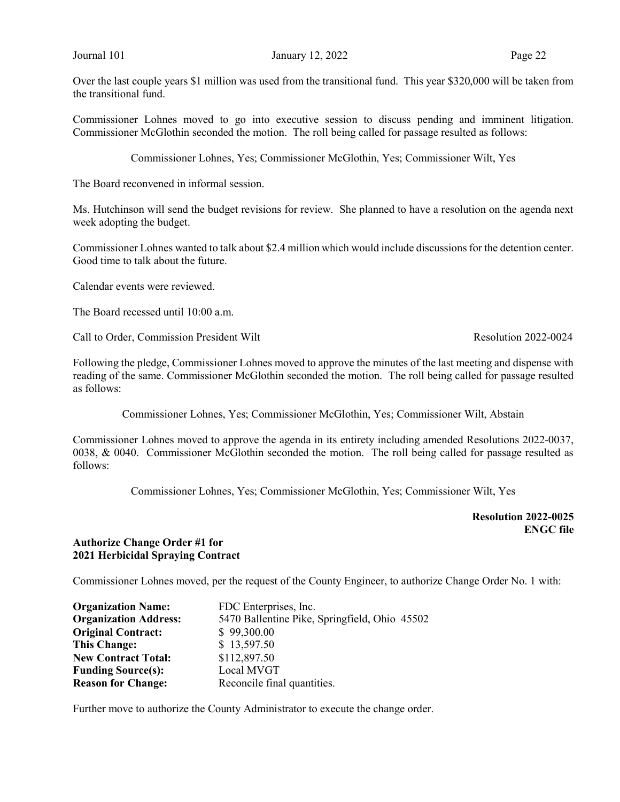Commissioner Lohnes moved to go into executive session to discuss pending and imminent litigation. Commissioner McGlothin seconded the motion. The roll being called for passage resulted as follows:

Commissioner Lohnes, Yes; Commissioner McGlothin, Yes; Commissioner Wilt, Yes

The Board reconvened in informal session.

Ms. Hutchinson will send the budget revisions for review. She planned to have a resolution on the agenda next week adopting the budget.

Commissioner Lohnes wanted to talk about \$2.4 million which would include discussions for the detention center. Good time to talk about the future.

Calendar events were reviewed.

The Board recessed until 10:00 a.m.

Call to Order, Commission President Wilt Resolution 2022-0024

Following the pledge, Commissioner Lohnes moved to approve the minutes of the last meeting and dispense with reading of the same. Commissioner McGlothin seconded the motion. The roll being called for passage resulted as follows:

Commissioner Lohnes, Yes; Commissioner McGlothin, Yes; Commissioner Wilt, Abstain

Commissioner Lohnes moved to approve the agenda in its entirety including amended Resolutions 2022-0037, 0038, & 0040. Commissioner McGlothin seconded the motion. The roll being called for passage resulted as follows:

Commissioner Lohnes, Yes; Commissioner McGlothin, Yes; Commissioner Wilt, Yes

 Resolution 2022-0025 ENGC file

## Authorize Change Order #1 for 2021 Herbicidal Spraying Contract

Commissioner Lohnes moved, per the request of the County Engineer, to authorize Change Order No. 1 with:

| <b>Organization Name:</b>    | FDC Enterprises, Inc.                         |
|------------------------------|-----------------------------------------------|
| <b>Organization Address:</b> | 5470 Ballentine Pike, Springfield, Ohio 45502 |
| <b>Original Contract:</b>    | \$99,300.00                                   |
| <b>This Change:</b>          | \$13,597.50                                   |
| <b>New Contract Total:</b>   | \$112,897.50                                  |
| <b>Funding Source(s):</b>    | Local MVGT                                    |
| <b>Reason for Change:</b>    | Reconcile final quantities.                   |

Further move to authorize the County Administrator to execute the change order.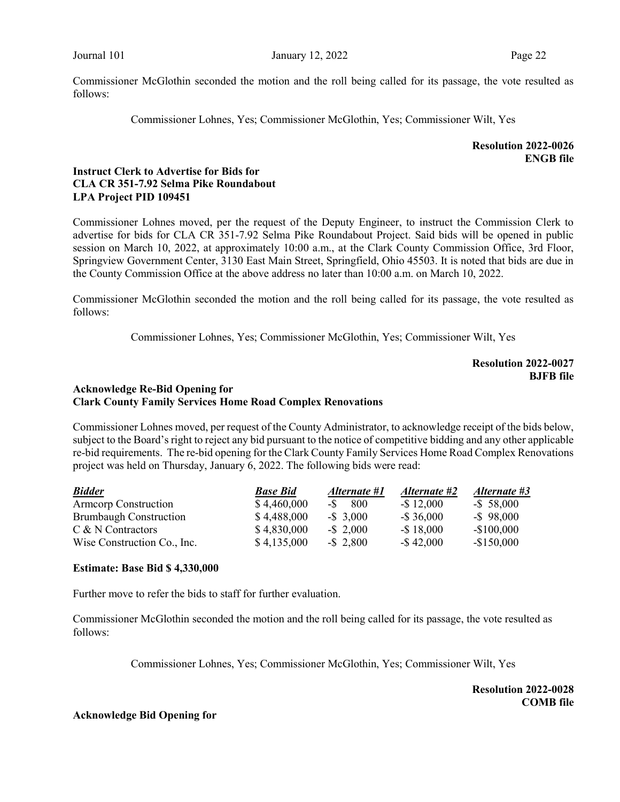Commissioner McGlothin seconded the motion and the roll being called for its passage, the vote resulted as follows:

Commissioner Lohnes, Yes; Commissioner McGlothin, Yes; Commissioner Wilt, Yes

Resolution 2022-0026 ENGB file

# Instruct Clerk to Advertise for Bids for CLA CR 351-7.92 Selma Pike Roundabout LPA Project PID 109451

Commissioner Lohnes moved, per the request of the Deputy Engineer, to instruct the Commission Clerk to advertise for bids for CLA CR 351-7.92 Selma Pike Roundabout Project. Said bids will be opened in public session on March 10, 2022, at approximately 10:00 a.m., at the Clark County Commission Office, 3rd Floor, Springview Government Center, 3130 East Main Street, Springfield, Ohio 45503. It is noted that bids are due in the County Commission Office at the above address no later than 10:00 a.m. on March 10, 2022.

Commissioner McGlothin seconded the motion and the roll being called for its passage, the vote resulted as follows:

Commissioner Lohnes, Yes; Commissioner McGlothin, Yes; Commissioner Wilt, Yes

Resolution 2022-0027 BJFB file

# Acknowledge Re-Bid Opening for Clark County Family Services Home Road Complex Renovations

Commissioner Lohnes moved, per request of the County Administrator, to acknowledge receipt of the bids below, subject to the Board's right to reject any bid pursuant to the notice of competitive bidding and any other applicable re-bid requirements. The re-bid opening for the Clark County Family Services Home Road Complex Renovations project was held on Thursday, January 6, 2022. The following bids were read:

| <b>Bidder</b>                 | <b>Base Bid</b> | Alternate #1 | Alternate #2  | Alternate #3  |
|-------------------------------|-----------------|--------------|---------------|---------------|
| <b>Armcorp Construction</b>   | \$4,460,000     | $-S$<br>-800 | $-$ \$12,000  | $-$ \$ 58,000 |
| <b>Brumbaugh Construction</b> | \$4,488,000     | $-$ \$ 3,000 | $-$ \$ 36,000 | $-$ \$ 98,000 |
| C & N Contractors             | \$4,830,000     | $-$ \$ 2,000 | $-$ \$18,000  | $-$100,000$   |
| Wise Construction Co., Inc.   | \$4,135,000     | $-$ \$ 2,800 | $-$ \$42,000  | $-$150,000$   |

#### Estimate: Base Bid \$ 4,330,000

Further move to refer the bids to staff for further evaluation.

Commissioner McGlothin seconded the motion and the roll being called for its passage, the vote resulted as follows:

Commissioner Lohnes, Yes; Commissioner McGlothin, Yes; Commissioner Wilt, Yes

Resolution 2022-0028 COMB file

Acknowledge Bid Opening for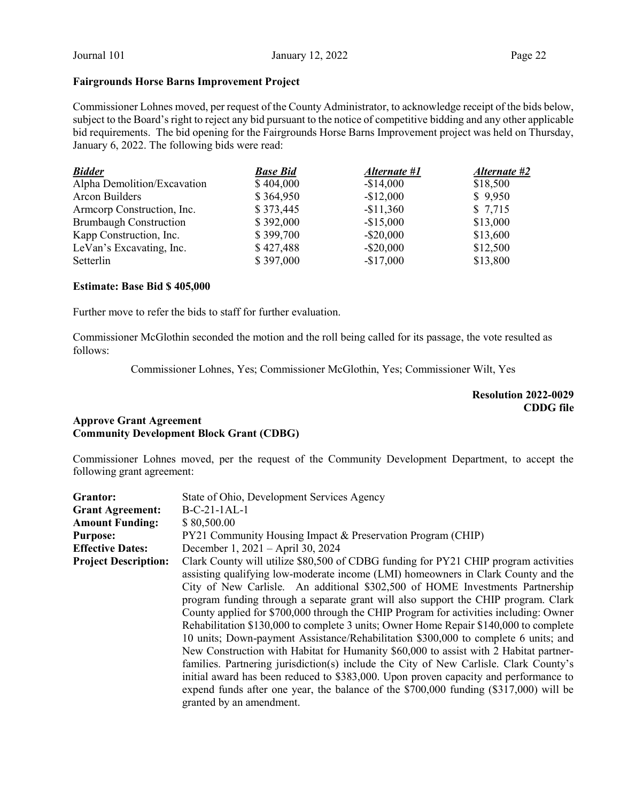# Fairgrounds Horse Barns Improvement Project

Commissioner Lohnes moved, per request of the County Administrator, to acknowledge receipt of the bids below, subject to the Board's right to reject any bid pursuant to the notice of competitive bidding and any other applicable bid requirements. The bid opening for the Fairgrounds Horse Barns Improvement project was held on Thursday, January 6, 2022. The following bids were read:

| <b>Bidder</b>                 | <b>Base Bid</b> | Alternate #1 | Alternate #2 |
|-------------------------------|-----------------|--------------|--------------|
| Alpha Demolition/Excavation   | \$404,000       | $-$14,000$   | \$18,500     |
| Arcon Builders                | \$364,950       | $-$12,000$   | \$9,950      |
| Armcorp Construction, Inc.    | \$373,445       | $-$11,360$   | \$7,715      |
| <b>Brumbaugh Construction</b> | \$392,000       | $-$15,000$   | \$13,000     |
| Kapp Construction, Inc.       | \$399,700       | $-$ \$20,000 | \$13,600     |
| LeVan's Excavating, Inc.      | \$427,488       | $-$ \$20,000 | \$12,500     |
| Setterlin                     | \$397,000       | $-$17,000$   | \$13,800     |

## Estimate: Base Bid \$ 405,000

Further move to refer the bids to staff for further evaluation.

Commissioner McGlothin seconded the motion and the roll being called for its passage, the vote resulted as follows:

Commissioner Lohnes, Yes; Commissioner McGlothin, Yes; Commissioner Wilt, Yes

# Resolution 2022-0029 CDDG file

# Approve Grant Agreement Community Development Block Grant (CDBG)

Commissioner Lohnes moved, per the request of the Community Development Department, to accept the following grant agreement:

| Grantor:                    | State of Ohio, Development Services Agency                                                                                                                                                                                                                                                                                                                                                                                                                                                                                                                                                                                                                                                                                                                                                                                                                                                                                                                                                                                |
|-----------------------------|---------------------------------------------------------------------------------------------------------------------------------------------------------------------------------------------------------------------------------------------------------------------------------------------------------------------------------------------------------------------------------------------------------------------------------------------------------------------------------------------------------------------------------------------------------------------------------------------------------------------------------------------------------------------------------------------------------------------------------------------------------------------------------------------------------------------------------------------------------------------------------------------------------------------------------------------------------------------------------------------------------------------------|
| <b>Grant Agreement:</b>     | $B-C-21-1AL-1$                                                                                                                                                                                                                                                                                                                                                                                                                                                                                                                                                                                                                                                                                                                                                                                                                                                                                                                                                                                                            |
| <b>Amount Funding:</b>      | \$80,500.00                                                                                                                                                                                                                                                                                                                                                                                                                                                                                                                                                                                                                                                                                                                                                                                                                                                                                                                                                                                                               |
| <b>Purpose:</b>             | PY21 Community Housing Impact & Preservation Program (CHIP)                                                                                                                                                                                                                                                                                                                                                                                                                                                                                                                                                                                                                                                                                                                                                                                                                                                                                                                                                               |
| <b>Effective Dates:</b>     | December 1, 2021 – April 30, 2024                                                                                                                                                                                                                                                                                                                                                                                                                                                                                                                                                                                                                                                                                                                                                                                                                                                                                                                                                                                         |
| <b>Project Description:</b> | Clark County will utilize \$80,500 of CDBG funding for PY21 CHIP program activities<br>assisting qualifying low-moderate income (LMI) homeowners in Clark County and the<br>City of New Carlisle. An additional \$302,500 of HOME Investments Partnership<br>program funding through a separate grant will also support the CHIP program. Clark<br>County applied for \$700,000 through the CHIP Program for activities including: Owner<br>Rehabilitation \$130,000 to complete 3 units; Owner Home Repair \$140,000 to complete<br>10 units; Down-payment Assistance/Rehabilitation \$300,000 to complete 6 units; and<br>New Construction with Habitat for Humanity \$60,000 to assist with 2 Habitat partner-<br>families. Partnering jurisdiction(s) include the City of New Carlisle. Clark County's<br>initial award has been reduced to \$383,000. Upon proven capacity and performance to<br>expend funds after one year, the balance of the $$700,000$ funding $($317,000)$ will be<br>granted by an amendment. |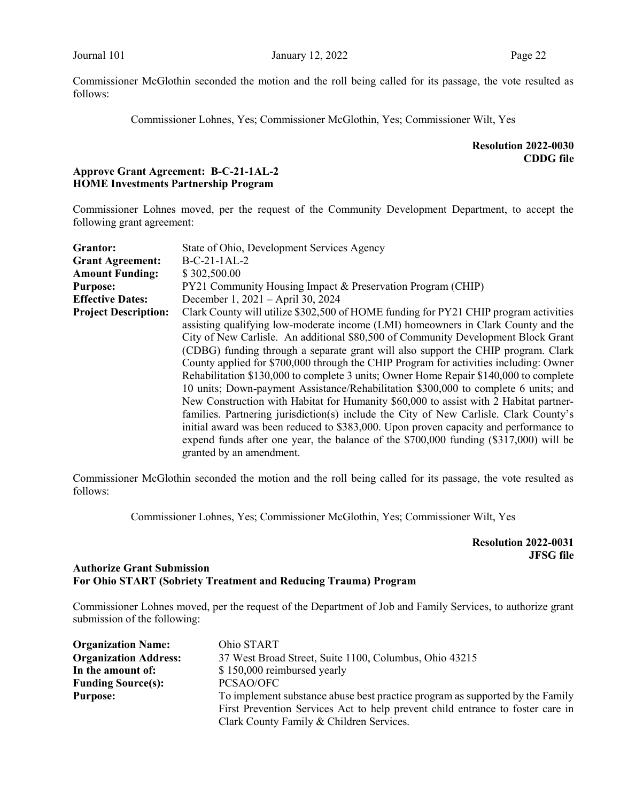Commissioner McGlothin seconded the motion and the roll being called for its passage, the vote resulted as follows:

Commissioner Lohnes, Yes; Commissioner McGlothin, Yes; Commissioner Wilt, Yes

# Resolution 2022-0030 CDDG file

# Approve Grant Agreement: B-C-21-1AL-2 HOME Investments Partnership Program

Commissioner Lohnes moved, per the request of the Community Development Department, to accept the following grant agreement:

| Grantor:                    | State of Ohio, Development Services Agency                                              |
|-----------------------------|-----------------------------------------------------------------------------------------|
| <b>Grant Agreement:</b>     | $B-C-21-1AL-2$                                                                          |
| <b>Amount Funding:</b>      | \$302,500.00                                                                            |
| <b>Purpose:</b>             | PY21 Community Housing Impact & Preservation Program (CHIP)                             |
| <b>Effective Dates:</b>     | December 1, 2021 – April 30, 2024                                                       |
| <b>Project Description:</b> | Clark County will utilize \$302,500 of HOME funding for PY21 CHIP program activities    |
|                             | assisting qualifying low-moderate income (LMI) homeowners in Clark County and the       |
|                             | City of New Carlisle. An additional \$80,500 of Community Development Block Grant       |
|                             | (CDBG) funding through a separate grant will also support the CHIP program. Clark       |
|                             | County applied for \$700,000 through the CHIP Program for activities including: Owner   |
|                             | Rehabilitation \$130,000 to complete 3 units; Owner Home Repair \$140,000 to complete   |
|                             | 10 units; Down-payment Assistance/Rehabilitation \$300,000 to complete 6 units; and     |
|                             | New Construction with Habitat for Humanity \$60,000 to assist with 2 Habitat partner-   |
|                             | families. Partnering jurisdiction(s) include the City of New Carlisle. Clark County's   |
|                             | initial award was been reduced to \$383,000. Upon proven capacity and performance to    |
|                             | expend funds after one year, the balance of the $$700,000$ funding $($317,000)$ will be |
|                             | granted by an amendment.                                                                |

Commissioner McGlothin seconded the motion and the roll being called for its passage, the vote resulted as follows:

Commissioner Lohnes, Yes; Commissioner McGlothin, Yes; Commissioner Wilt, Yes

Resolution 2022-0031 JFSG file

# Authorize Grant Submission For Ohio START (Sobriety Treatment and Reducing Trauma) Program

Commissioner Lohnes moved, per the request of the Department of Job and Family Services, to authorize grant submission of the following:

| <b>Organization Name:</b>    | Ohio START                                                                     |
|------------------------------|--------------------------------------------------------------------------------|
| <b>Organization Address:</b> | 37 West Broad Street, Suite 1100, Columbus, Ohio 43215                         |
| In the amount of:            | \$150,000 reimbursed yearly                                                    |
| <b>Funding Source(s):</b>    | PCSAO/OFC                                                                      |
| <b>Purpose:</b>              | To implement substance abuse best practice program as supported by the Family  |
|                              | First Prevention Services Act to help prevent child entrance to foster care in |
|                              | Clark County Family & Children Services.                                       |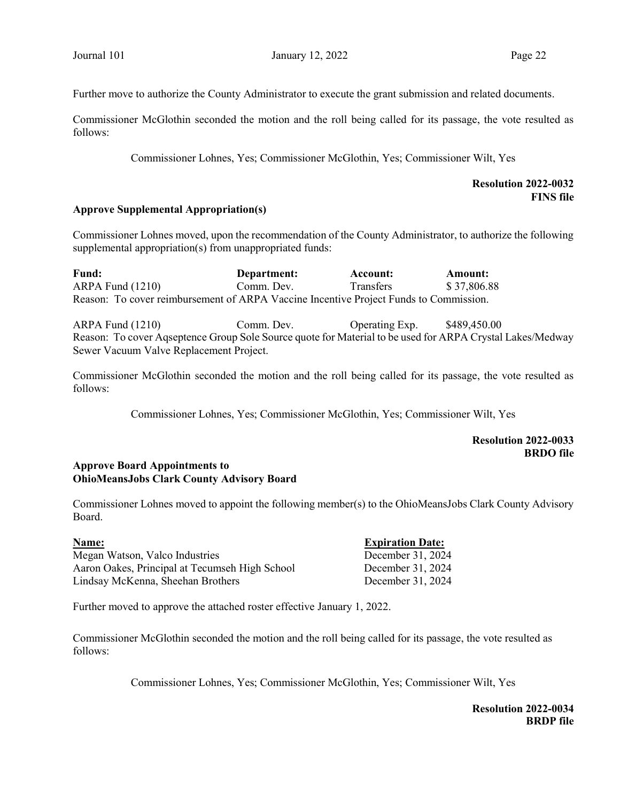Further move to authorize the County Administrator to execute the grant submission and related documents.

Commissioner McGlothin seconded the motion and the roll being called for its passage, the vote resulted as follows:

Commissioner Lohnes, Yes; Commissioner McGlothin, Yes; Commissioner Wilt, Yes

# Resolution 2022-0032 FINS file

## Approve Supplemental Appropriation(s)

Commissioner Lohnes moved, upon the recommendation of the County Administrator, to authorize the following supplemental appropriation(s) from unappropriated funds:

Fund: Department: Account: Amount: ARPA Fund (1210) Comm. Dev. Transfers \$ 37,806.88 Reason: To cover reimbursement of ARPA Vaccine Incentive Project Funds to Commission.

ARPA Fund (1210) Comm. Dev. Operating Exp. \$489,450.00 Reason: To cover Aqseptence Group Sole Source quote for Material to be used for ARPA Crystal Lakes/Medway Sewer Vacuum Valve Replacement Project.

Commissioner McGlothin seconded the motion and the roll being called for its passage, the vote resulted as follows:

Commissioner Lohnes, Yes; Commissioner McGlothin, Yes; Commissioner Wilt, Yes

# Resolution 2022-0033 BRDO file

## Approve Board Appointments to OhioMeansJobs Clark County Advisory Board

Commissioner Lohnes moved to appoint the following member(s) to the OhioMeansJobs Clark County Advisory Board.

| <b>Name:</b>                                   | <b>Expiration Date:</b> |
|------------------------------------------------|-------------------------|
| Megan Watson, Valco Industries                 | December 31, 2024       |
| Aaron Oakes, Principal at Tecumseh High School | December 31, 2024       |
| Lindsay McKenna, Sheehan Brothers              | December 31, 2024       |

Further moved to approve the attached roster effective January 1, 2022.

Commissioner McGlothin seconded the motion and the roll being called for its passage, the vote resulted as follows:

Commissioner Lohnes, Yes; Commissioner McGlothin, Yes; Commissioner Wilt, Yes

Resolution 2022-0034 BRDP file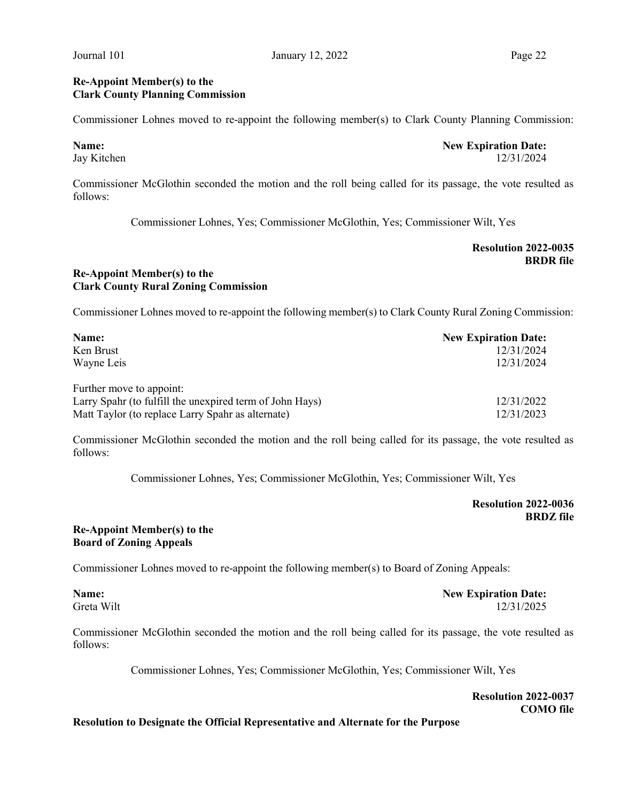## Re-Appoint Member(s) to the Clark County Planning Commission

Commissioner Lohnes moved to re-appoint the following member(s) to Clark County Planning Commission:

Name: New Expiration Date: Jay Kitchen 12/31/2024

Commissioner McGlothin seconded the motion and the roll being called for its passage, the vote resulted as follows:

Commissioner Lohnes, Yes; Commissioner McGlothin, Yes; Commissioner Wilt, Yes

## Resolution 2022-0035 **BRDR** file

# Re-Appoint Member(s) to the Clark County Rural Zoning Commission

Commissioner Lohnes moved to re-appoint the following member(s) to Clark County Rural Zoning Commission:

| Name:                                                    | <b>New Expiration Date:</b> |
|----------------------------------------------------------|-----------------------------|
| Ken Brust                                                | 12/31/2024                  |
| Wayne Leis                                               | 12/31/2024                  |
| Further move to appoint:                                 |                             |
| Larry Spahr (to fulfill the unexpired term of John Hays) | 12/31/2022                  |
| Matt Taylor (to replace Larry Spahr as alternate)        | 12/31/2023                  |

Commissioner McGlothin seconded the motion and the roll being called for its passage, the vote resulted as follows:

Commissioner Lohnes, Yes; Commissioner McGlothin, Yes; Commissioner Wilt, Yes

Resolution 2022-0036 BRDZ file

# Re-Appoint Member(s) to the Board of Zoning Appeals

Commissioner Lohnes moved to re-appoint the following member(s) to Board of Zoning Appeals:

Name: New Expiration Date: Greta Wilt 12/31/2025

Commissioner McGlothin seconded the motion and the roll being called for its passage, the vote resulted as follows:

Commissioner Lohnes, Yes; Commissioner McGlothin, Yes; Commissioner Wilt, Yes

Resolution 2022-0037 COMO file

#### Resolution to Designate the Official Representative and Alternate for the Purpose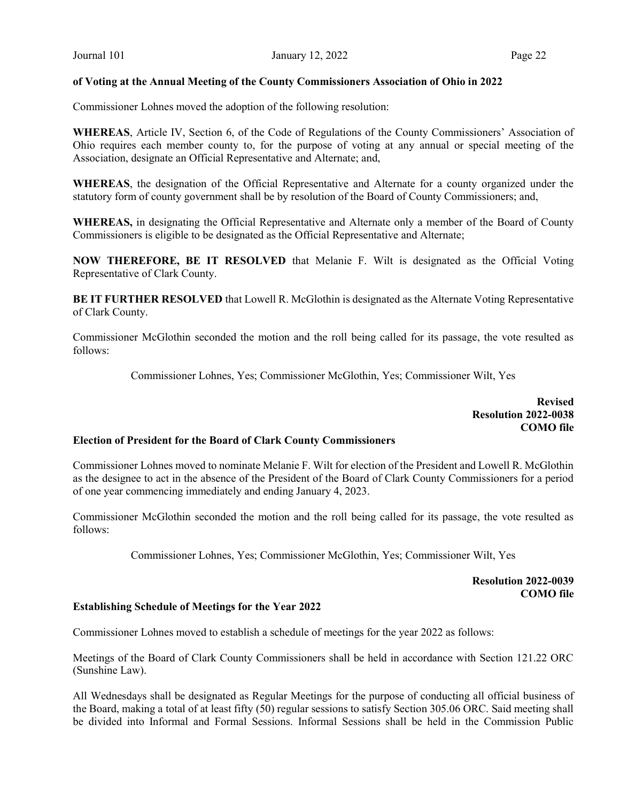## of Voting at the Annual Meeting of the County Commissioners Association of Ohio in 2022

Commissioner Lohnes moved the adoption of the following resolution:

WHEREAS, Article IV, Section 6, of the Code of Regulations of the County Commissioners' Association of Ohio requires each member county to, for the purpose of voting at any annual or special meeting of the Association, designate an Official Representative and Alternate; and,

WHEREAS, the designation of the Official Representative and Alternate for a county organized under the statutory form of county government shall be by resolution of the Board of County Commissioners; and,

WHEREAS, in designating the Official Representative and Alternate only a member of the Board of County Commissioners is eligible to be designated as the Official Representative and Alternate;

NOW THEREFORE, BE IT RESOLVED that Melanie F. Wilt is designated as the Official Voting Representative of Clark County.

BE IT FURTHER RESOLVED that Lowell R. McGlothin is designated as the Alternate Voting Representative of Clark County.

Commissioner McGlothin seconded the motion and the roll being called for its passage, the vote resulted as follows:

Commissioner Lohnes, Yes; Commissioner McGlothin, Yes; Commissioner Wilt, Yes

Revised Resolution 2022-0038 COMO file

## Election of President for the Board of Clark County Commissioners

Commissioner Lohnes moved to nominate Melanie F. Wilt for election of the President and Lowell R. McGlothin as the designee to act in the absence of the President of the Board of Clark County Commissioners for a period of one year commencing immediately and ending January 4, 2023.

Commissioner McGlothin seconded the motion and the roll being called for its passage, the vote resulted as follows:

Commissioner Lohnes, Yes; Commissioner McGlothin, Yes; Commissioner Wilt, Yes

Resolution 2022-0039 COMO file

#### Establishing Schedule of Meetings for the Year 2022

Commissioner Lohnes moved to establish a schedule of meetings for the year 2022 as follows:

Meetings of the Board of Clark County Commissioners shall be held in accordance with Section 121.22 ORC (Sunshine Law).

All Wednesdays shall be designated as Regular Meetings for the purpose of conducting all official business of the Board, making a total of at least fifty (50) regular sessions to satisfy Section 305.06 ORC. Said meeting shall be divided into Informal and Formal Sessions. Informal Sessions shall be held in the Commission Public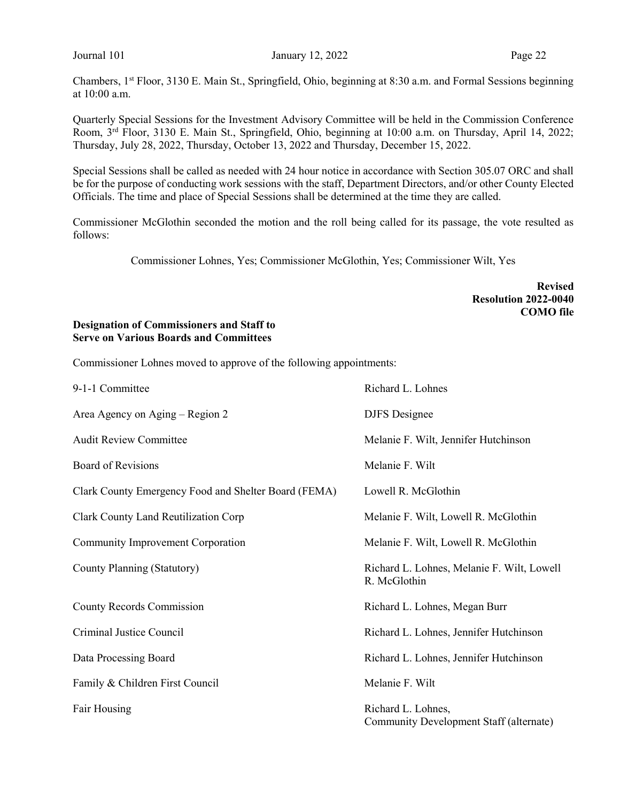Chambers, 1st Floor, 3130 E. Main St., Springfield, Ohio, beginning at 8:30 a.m. and Formal Sessions beginning at 10:00 a.m.

Quarterly Special Sessions for the Investment Advisory Committee will be held in the Commission Conference Room, 3rd Floor, 3130 E. Main St., Springfield, Ohio, beginning at 10:00 a.m. on Thursday, April 14, 2022; Thursday, July 28, 2022, Thursday, October 13, 2022 and Thursday, December 15, 2022.

Special Sessions shall be called as needed with 24 hour notice in accordance with Section 305.07 ORC and shall be for the purpose of conducting work sessions with the staff, Department Directors, and/or other County Elected Officials. The time and place of Special Sessions shall be determined at the time they are called.

Commissioner McGlothin seconded the motion and the roll being called for its passage, the vote resulted as follows:

Commissioner Lohnes, Yes; Commissioner McGlothin, Yes; Commissioner Wilt, Yes

Revised Resolution 2022-0040 COMO file

## Designation of Commissioners and Staff to Serve on Various Boards and Committees

Commissioner Lohnes moved to approve of the following appointments:

| 9-1-1 Committee                                      | Richard L. Lohnes                                             |
|------------------------------------------------------|---------------------------------------------------------------|
| Area Agency on Aging – Region 2                      | <b>DJFS</b> Designee                                          |
| <b>Audit Review Committee</b>                        | Melanie F. Wilt, Jennifer Hutchinson                          |
| <b>Board of Revisions</b>                            | Melanie F. Wilt                                               |
| Clark County Emergency Food and Shelter Board (FEMA) | Lowell R. McGlothin                                           |
| Clark County Land Reutilization Corp                 | Melanie F. Wilt, Lowell R. McGlothin                          |
| Community Improvement Corporation                    | Melanie F. Wilt, Lowell R. McGlothin                          |
| County Planning (Statutory)                          | Richard L. Lohnes, Melanie F. Wilt, Lowell<br>R. McGlothin    |
| <b>County Records Commission</b>                     | Richard L. Lohnes, Megan Burr                                 |
| Criminal Justice Council                             | Richard L. Lohnes, Jennifer Hutchinson                        |
| Data Processing Board                                | Richard L. Lohnes, Jennifer Hutchinson                        |
| Family & Children First Council                      | Melanie F. Wilt                                               |
| Fair Housing                                         | Richard L. Lohnes,<br>Community Development Staff (alternate) |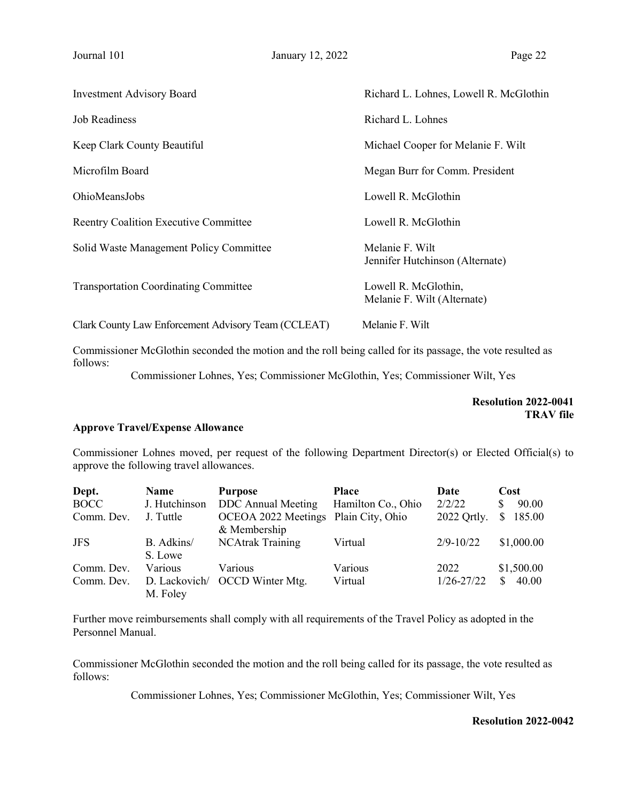| <b>Investment Advisory Board</b>                    | Richard L. Lohnes, Lowell R. McGlothin              |
|-----------------------------------------------------|-----------------------------------------------------|
| <b>Job Readiness</b>                                | Richard L. Lohnes                                   |
| Keep Clark County Beautiful                         | Michael Cooper for Melanie F. Wilt                  |
| Microfilm Board                                     | Megan Burr for Comm. President                      |
| OhioMeansJobs                                       | Lowell R. McGlothin                                 |
| <b>Reentry Coalition Executive Committee</b>        | Lowell R. McGlothin                                 |
| Solid Waste Management Policy Committee             | Melanie F. Wilt<br>Jennifer Hutchinson (Alternate)  |
| <b>Transportation Coordinating Committee</b>        | Lowell R. McGlothin,<br>Melanie F. Wilt (Alternate) |
| Clark County Law Enforcement Advisory Team (CCLEAT) | Melanie F. Wilt                                     |

Commissioner McGlothin seconded the motion and the roll being called for its passage, the vote resulted as follows:

Commissioner Lohnes, Yes; Commissioner McGlothin, Yes; Commissioner Wilt, Yes

Resolution 2022-0041 TRAV file

#### Approve Travel/Expense Allowance

Commissioner Lohnes moved, per request of the following Department Director(s) or Elected Official(s) to approve the following travel allowances.

| Dept.       | <b>Name</b>           | <b>Purpose</b>                                       | <b>Place</b>       | Date           | Cost                   |
|-------------|-----------------------|------------------------------------------------------|--------------------|----------------|------------------------|
| <b>BOCC</b> | J. Hutchinson         | <b>DDC</b> Annual Meeting                            | Hamilton Co., Ohio | 2/2/22         | 90.00<br>S             |
| Comm. Dev.  | J. Tuttle             | OCEOA 2022 Meetings Plain City, Ohio<br>& Membership |                    | 2022 Ortly.    | 185.00<br><sup>S</sup> |
| <b>JFS</b>  | B. Adkins/<br>S. Lowe | <b>NCAtrak Training</b>                              | Virtual            | $2/9 - 10/22$  | \$1,000.00             |
| Comm. Dev.  | Various               | <b>Various</b>                                       | Various            | 2022           | \$1,500.00             |
| Comm. Dev.  | M. Foley              | D. Lackovich/ OCCD Winter Mtg.                       | Virtual            | $1/26 - 27/22$ | 40.00<br>\$.           |

Further move reimbursements shall comply with all requirements of the Travel Policy as adopted in the Personnel Manual.

Commissioner McGlothin seconded the motion and the roll being called for its passage, the vote resulted as follows:

Commissioner Lohnes, Yes; Commissioner McGlothin, Yes; Commissioner Wilt, Yes

#### Resolution 2022-0042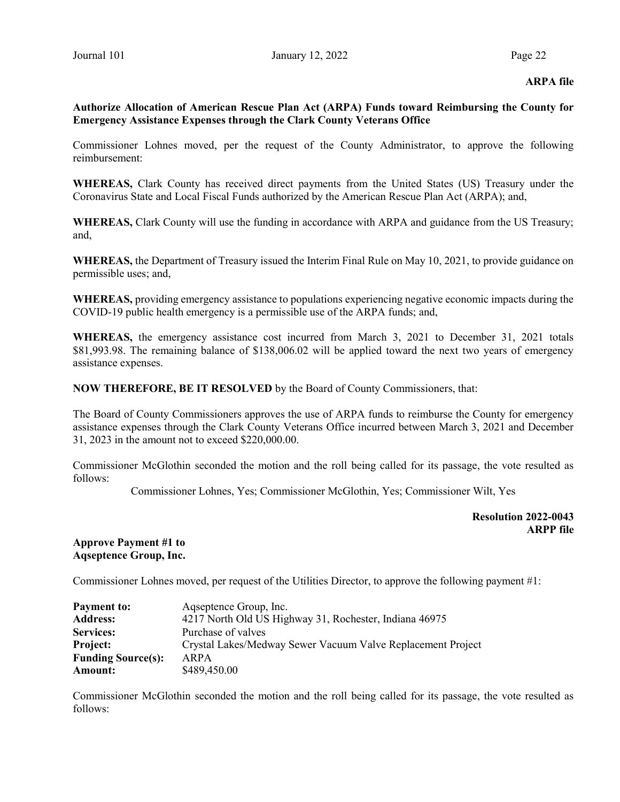#### ARPA file

# Authorize Allocation of American Rescue Plan Act (ARPA) Funds toward Reimbursing the County for Emergency Assistance Expenses through the Clark County Veterans Office

Commissioner Lohnes moved, per the request of the County Administrator, to approve the following reimbursement:

WHEREAS, Clark County has received direct payments from the United States (US) Treasury under the Coronavirus State and Local Fiscal Funds authorized by the American Rescue Plan Act (ARPA); and,

WHEREAS, Clark County will use the funding in accordance with ARPA and guidance from the US Treasury; and,

WHEREAS, the Department of Treasury issued the Interim Final Rule on May 10, 2021, to provide guidance on permissible uses; and,

WHEREAS, providing emergency assistance to populations experiencing negative economic impacts during the COVID-19 public health emergency is a permissible use of the ARPA funds; and,

WHEREAS, the emergency assistance cost incurred from March 3, 2021 to December 31, 2021 totals \$81,993.98. The remaining balance of \$138,006.02 will be applied toward the next two years of emergency assistance expenses.

NOW THEREFORE, BE IT RESOLVED by the Board of County Commissioners, that:

The Board of County Commissioners approves the use of ARPA funds to reimburse the County for emergency assistance expenses through the Clark County Veterans Office incurred between March 3, 2021 and December 31, 2023 in the amount not to exceed \$220,000.00.

Commissioner McGlothin seconded the motion and the roll being called for its passage, the vote resulted as follows:

Commissioner Lohnes, Yes; Commissioner McGlothin, Yes; Commissioner Wilt, Yes

Resolution 2022-0043 ARPP file

#### Approve Payment #1 to Aqseptence Group, Inc.

Commissioner Lohnes moved, per request of the Utilities Director, to approve the following payment #1:

| <b>Payment to:</b>        | Agseptence Group, Inc.                                      |
|---------------------------|-------------------------------------------------------------|
| <b>Address:</b>           | 4217 North Old US Highway 31, Rochester, Indiana 46975      |
| <b>Services:</b>          | Purchase of valves                                          |
| <b>Project:</b>           | Crystal Lakes/Medway Sewer Vacuum Valve Replacement Project |
| <b>Funding Source(s):</b> | ARPA                                                        |
| Amount:                   | \$489,450.00                                                |

Commissioner McGlothin seconded the motion and the roll being called for its passage, the vote resulted as follows: